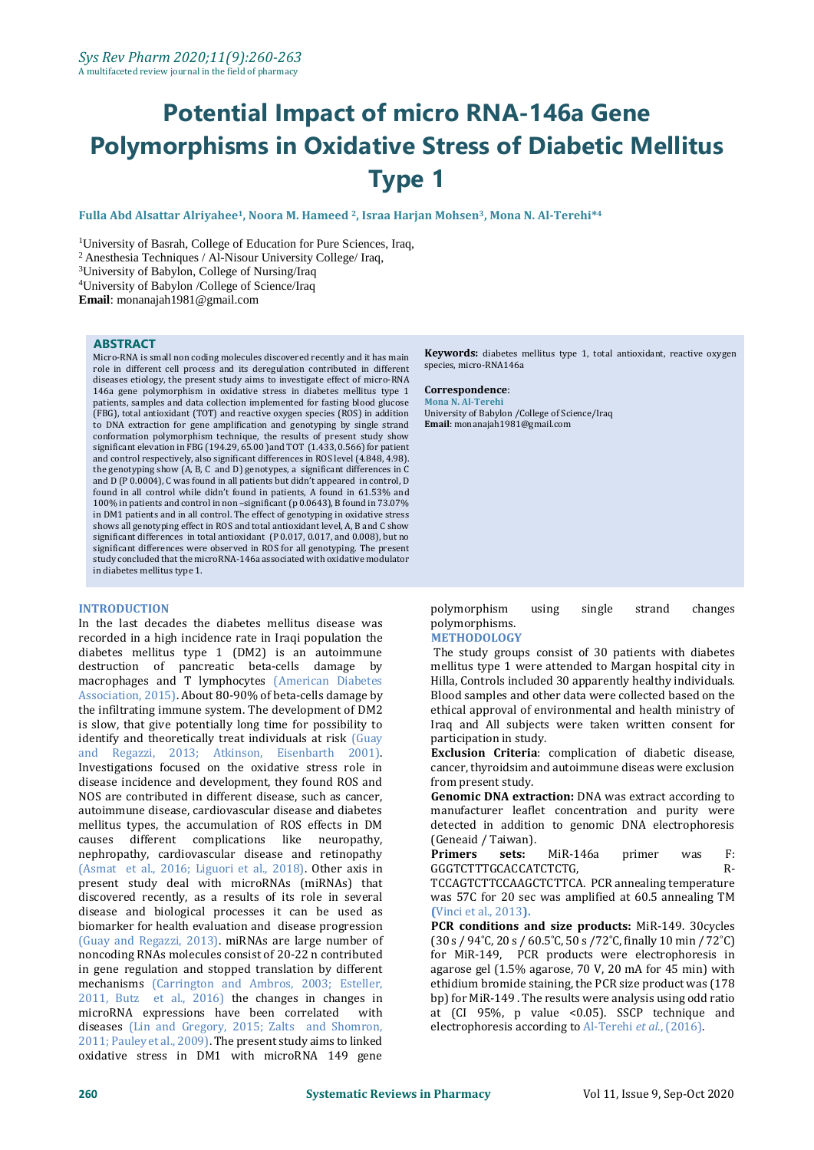# **Potential Impact of micro RNA-146a Gene Polymorphisms in Oxidative Stress of Diabetic Mellitus Type 1**

**Fulla Abd Alsattar Alriyahee1, Noora M. Hameed <sup>2</sup>, Israa Harjan Mohsen3, Mona N. Al-Terehi\* 4**

<sup>1</sup>University of Basrah, College of Education for Pure Sciences, Iraq,

<sup>2</sup>Anesthesia Techniques [/ Al-Nisour University College/](http://www.nuc.edu.iq/jnuc/web/18/journal) Iraq,

<sup>3</sup>University of Babylon, College of Nursing/Iraq

<sup>4</sup>University of Babylon /College of Science/Iraq

**Email**: monanajah1981@gmail.com

#### **ABSTRACT**

Micro-RNA is small non coding molecules discovered recently and it has main role in different cell process and its deregulation contributed in different diseases etiology, the present study aims to investigate effect of micro-RNA 146a gene polymorphism in oxidative stress in diabetes mellitus type 1 patients, samples and data collection implemented for fasting blood glucose (FBG), total antioxidant (TOT) and reactive oxygen species (ROS) in addition to DNA extraction for gene amplification and genotyping by single strand conformation polymorphism technique, the results of present study show significant elevation in FBG (194.29, 65.00 )and TOT (1.433, 0.566) for patient and control respectively, also significant differences in ROS level (4.848, 4.98). the genotyping show (A, B, C and D) genotypes, a significant differences in C and D (P 0.0004), C was found in all patients but didn't appeared in control, D found in all control while didn't found in patients, A found in 61.53% and 100% in patients and control in non –significant (p 0.0643), B found in 73.07% in DM1 patients and in all control. The effect of genotyping in oxidative stress shows all genotyping effect in ROS and total antioxidant level, A, B and C show significant differences in total antioxidant (P 0.017, 0.017, and 0.008), but no significant differences were observed in ROS for all genotyping. The present study concluded that the microRNA-146a associated with oxidative modulator in diabetes mellitus type 1.

#### **INTRODUCTION**

In the last decades the diabetes mellitus disease was recorded in a high incidence rate in Iraqi population the diabetes mellitus type 1 (DM2) is an autoimmune destruction of pancreatic beta-cells damage by macrophages and T lymphocytes (American Diabetes Association, 2015). About 80-90% of beta-cells damage by the infiltrating immune system. The development of DM2 is slow, that give potentially long time for possibility to identify and theoretically treat individuals at risk (Guay and Regazzi, 2013; Atkinson, Eisenbarth 2001). Investigations focused on the oxidative stress role in disease incidence and development, they found ROS and NOS are contributed in different disease, such as cancer, autoimmune disease, cardiovascular disease and diabetes mellitus types, the accumulation of ROS effects in DM causes different complications like neuropathy, nephropathy, cardiovascular disease and retinopathy (Asmat et al., 2016; Liguori et al., 2018). Other axis in present study deal with microRNAs (miRNAs) that discovered recently, as a results of its role in several disease and biological processes it can be used as biomarker for health evaluation and disease progression (Guay and Regazzi, 2013). miRNAs are large number of noncoding RNAs molecules consist of 20-22 n contributed in gene regulation and stopped translation by different mechanisms (Carrington and Ambros, 2003; Esteller, 2011, Butz et al., 2016) the changes in changes in microRNA expressions have been correlated with diseases (Lin and Gregory, 2015; Zalts and Shomron, 2011; Pauley et al., 2009). The present study aims to linked oxidative stress in DM1 with microRNA 149 gene

**Keywords:** diabetes mellitus type 1, total antioxidant, reactive oxygen species, micro-RNA146a

#### **Correspondence**:

**Mona N. Al-Terehi** University of Babylon /College of Science/Iraq **Email**: monanajah1981@gmail.com

polymorphism using single strand changes polymorphisms.

#### **METHODOLOGY**

The study groups consist of 30 patients with diabetes mellitus type 1 were attended to Margan hospital city in Hilla, Controls included 30 apparently healthy individuals. Blood samples and other data were collected based on the ethical approval of environmental and health ministry of Iraq and All subjects were taken written consent for participation in study.

**Exclusion Criteria**: complication of diabetic disease, cancer, thyroidsim and autoimmune diseas were exclusion from present study.

**Genomic DNA extraction:** DNA was extract according to manufacturer leaflet concentration and purity were detected in addition to genomic DNA electrophoresis (Geneaid / Taiwan).

**Primers sets:** MiR-146a primer was F: GGGTCTTTGCACCATCTCTG, R-

TCCAGTCTTCCAAGCTCTTCA. PCR annealing temperature was 57C for 20 sec was amplified at 60.5 annealing TM **(**Vinci et al., 2013**).**

**PCR conditions and size products:** MiR-149. 30cycles (30 s / 94˚C, 20 s / 60.5˚C, 50 s /72˚C, finally 10 min / 72˚C) for MiR-149, PCR products were electrophoresis in agarose gel (1.5% agarose, 70 V, 20 mA for 45 min) with ethidium bromide staining, the PCR size product was (178 bp) for MiR-149 . The results were analysis using odd ratio at (CI 95%, p value <0.05). SSCP technique and electrophoresis according to Al-Terehi *et al*., (2016).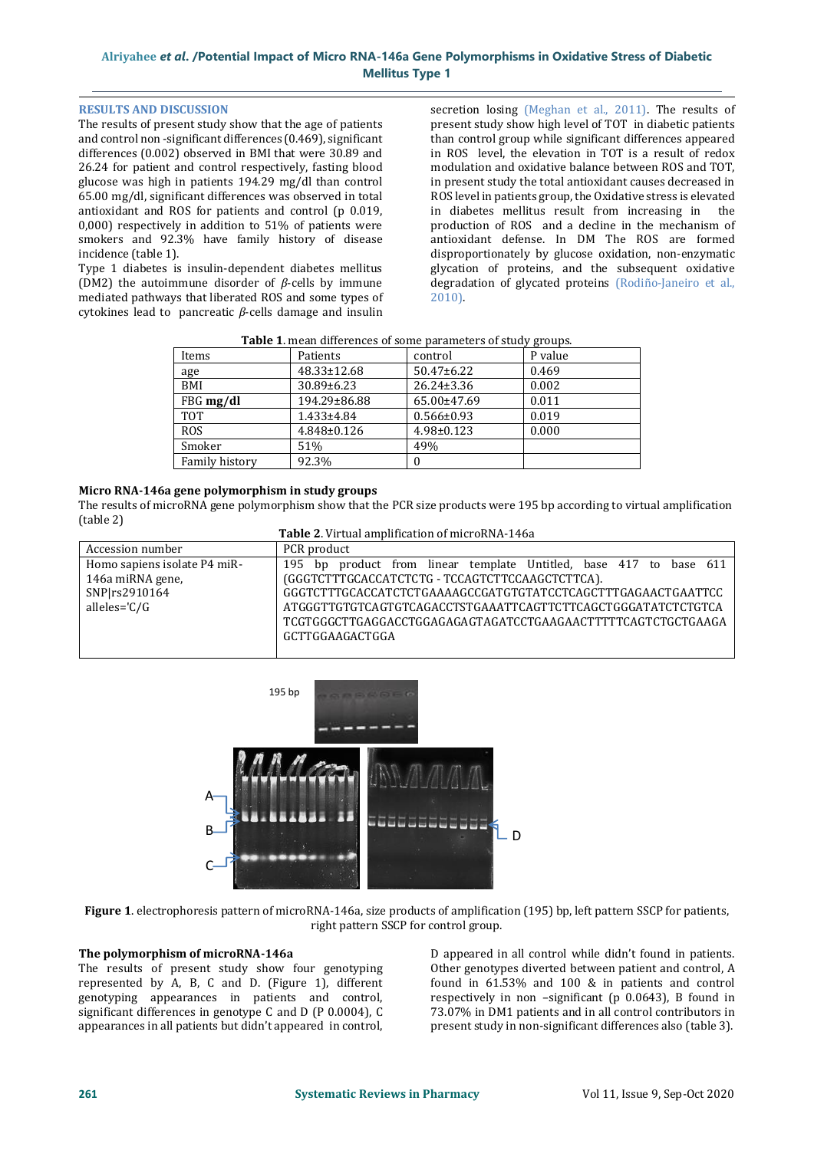# **Alriyahee** *et al***. /Potential Impact of Micro RNA-146a Gene Polymorphisms in Oxidative Stress of Diabetic Mellitus Type 1**

#### **RESULTS AND DISCUSSION**

The results of present study show that the age of patients and control non -significant differences (0.469), significant differences (0.002) observed in BMI that were 30.89 and 26.24 for patient and control respectively, fasting blood glucose was high in patients 194.29 mg/dl than control 65.00 mg/dl, significant differences was observed in total antioxidant and ROS for patients and control (p 0.019, 0,000) respectively in addition to 51% of patients were smokers and 92.3% have family history of disease incidence (table 1).

Type 1 diabetes is insulin-dependent diabetes mellitus (DM2) the autoimmune disorder of *β*-cells by immune mediated pathways that liberated ROS and some types of cytokines lead to pancreatic *β*-cells damage and insulin secretion losing (Meghan et al., 2011). The results of present study show high level of TOT in diabetic patients than control group while significant differences appeared in ROS level, the elevation in TOT is a result of redox modulation and oxidative balance between ROS and TOT, in present study the total antioxidant causes decreased in ROS level in patients group, the Oxidative stress is elevated in diabetes mellitus result from increasing in the production of ROS and a decline in the mechanism of antioxidant defense. In DM The ROS are formed disproportionately by glucose oxidation, non-enzymatic glycation of proteins, and the subsequent oxidative degradation of glycated proteins [\(Rodiño-Janeiro et al.,](https://www.intechopen.com/books/type-1-diabetes/biochemical-evaluation-of-oxidative-stress-in-type-1-diabetes#B111)  [2010\)](https://www.intechopen.com/books/type-1-diabetes/biochemical-evaluation-of-oxidative-stress-in-type-1-diabetes#B111).

| Items                 | Patients          | control          | P value |
|-----------------------|-------------------|------------------|---------|
| age                   | 48.33±12.68       | $50.47 \pm 6.22$ | 0.469   |
| BMI                   | 30.89±6.23        | $26.24 \pm 3.36$ | 0.002   |
| FBG mg/dl             | 194.29±86.88      | 65.00±47.69      | 0.011   |
| <b>TOT</b>            | $1.433 \pm 4.84$  | $0.566 \pm 0.93$ | 0.019   |
| <b>ROS</b>            | $4.848 \pm 0.126$ | 4.98±0.123       | 0.000   |
| Smoker                | 51%               | 49%              |         |
| <b>Family history</b> | 92.3%             |                  |         |

|--|

## **Micro RNA-146a gene polymorphism in study groups**

The results of microRNA gene polymorphism show that the PCR size products were 195 bp according to virtual amplification (table 2)

| Table 2. Virtual amplification of microRNA-146a |                                                                    |  |  |  |  |
|-------------------------------------------------|--------------------------------------------------------------------|--|--|--|--|
| Accession number                                | PCR product                                                        |  |  |  |  |
| Homo sapiens isolate P4 miR-                    | 195 bp product from linear template Untitled, base 417 to base 611 |  |  |  |  |
| 146a miRNA gene,                                | (GGGTCTTTGCACCATCTCTG - TCCAGTCTTCCAAGCTCTTCA).                    |  |  |  |  |
| SNP rs2910164                                   | GGGTCTTTGCACCATCTCTGAAAAGCCGATGTGTATCCTCAGCTTTGAGAACTGAATTCC       |  |  |  |  |
| alleles='C/G                                    | ATGGGTTGTGTCAGTGTCAGACCTSTGAAATTCAGTTCTTCAGCTGGGATATCTCTGTCA       |  |  |  |  |
|                                                 | TCGTGGGCTTGAGGACCTGGAGAGAGTAGATCCTGAAGAACTTTTTCAGTCTGCTGAAGA       |  |  |  |  |
|                                                 | GCTTGGAAGACTGGA                                                    |  |  |  |  |
|                                                 |                                                                    |  |  |  |  |



**Figure 1**. electrophoresis pattern of microRNA-146a, size products of amplification (195) bp, left pattern SSCP for patients, right pattern SSCP for control group.

## **The polymorphism of microRNA-146a**

The results of present study show four genotyping represented by A, B, C and D. (Figure 1), different genotyping appearances in patients and control, significant differences in genotype C and D (P 0.0004), C appearances in all patients but didn't appeared in control,

D appeared in all control while didn't found in patients. Other genotypes diverted between patient and control, A found in 61.53% and 100 & in patients and control respectively in non –significant (p 0.0643), B found in 73.07% in DM1 patients and in all control contributors in present study in non-significant differences also (table 3).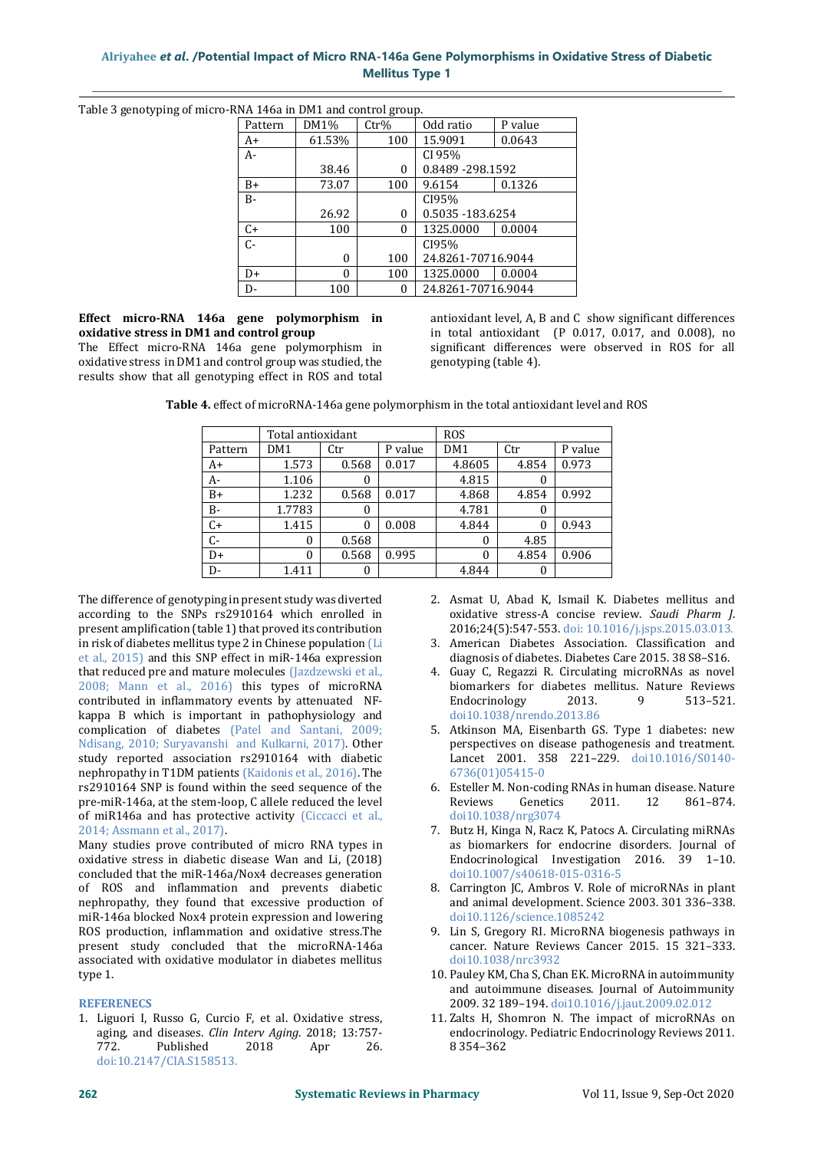# **Alriyahee** *et al***. /Potential Impact of Micro RNA-146a Gene Polymorphisms in Oxidative Stress of Diabetic Mellitus Type 1**

Table 3 genotyping of micro-RNA 146a in DM1 and control group.

| IVA 1-TON III DIMI UMU COMMOI GIUUDI |          |                  |                    |         |  |  |
|--------------------------------------|----------|------------------|--------------------|---------|--|--|
| Pattern                              | DM1%     | $\mathrm{Ctr}\%$ | Odd ratio          | P value |  |  |
| $A+$                                 | 61.53%   | 100              | 15.9091            | 0.0643  |  |  |
| $A-$                                 |          |                  | CI 95%             |         |  |  |
|                                      | 38.46    | 0                | 0.8489 - 298.1592  |         |  |  |
| $B+$                                 | 73.07    | 100              | 9.6154             | 0.1326  |  |  |
| $B -$                                |          |                  | CI95%              |         |  |  |
|                                      | 26.92    | 0                | 0.5035 - 183.6254  |         |  |  |
| C+                                   | 100      | $\theta$         | 1325.0000          | 0.0004  |  |  |
| $C -$                                |          |                  | CI95%              |         |  |  |
|                                      | 0        | 100              | 24.8261-70716.9044 |         |  |  |
| $D+$                                 | $\Omega$ | 100              | 1325.0000          | 0.0004  |  |  |
| D-                                   | 100      | $\theta$         | 24.8261-70716.9044 |         |  |  |

## **Effect micro-RNA 146a gene polymorphism in oxidative stress in DM1 and control group**

The Effect micro-RNA 146a gene polymorphism in oxidative stress in DM1 and control group was studied, the results show that all genotyping effect in ROS and total antioxidant level, A, B and C show significant differences in total antioxidant (P 0.017, 0.017, and 0.008), no significant differences were observed in ROS for all genotyping (table 4).

**Table 4.** effect of microRNA-146a gene polymorphism in the total antioxidant level and ROS

|         | Total antioxidant |          |         | <b>ROS</b> |       |         |
|---------|-------------------|----------|---------|------------|-------|---------|
| Pattern | DM1               | Ctr      | P value | DM1        | Ctr   | P value |
| $A+$    | 1.573             | 0.568    | 0.017   | 4.8605     | 4.854 | 0.973   |
| $A-$    | 1.106             | 0        |         | 4.815      | 0     |         |
| $B+$    | 1.232             | 0.568    | 0.017   | 4.868      | 4.854 | 0.992   |
| $B -$   | 1.7783            | $\theta$ |         | 4.781      | 0     |         |
| $C+$    | 1.415             | $\theta$ | 0.008   | 4.844      | 0     | 0.943   |
| C-      | 0                 | 0.568    |         | 0          | 4.85  |         |
| $D+$    | 0                 | 0.568    | 0.995   | 0          | 4.854 | 0.906   |
| $D -$   | 1.411             | 0        |         | 4.844      | 0     |         |

The difference of genotyping in present study was diverted according to the SNPs rs2910164 which enrolled in present amplification (table 1) that proved its contribution in risk of diabetes mellitus type 2 in Chinese population (Li et al., 2015) and this SNP effect in miR-146a expression that reduced pre and mature molecules (Jazdzewski et al., 2008; Mann et al., 2016) this types of microRNA contributed in inflammatory events by attenuated NFkappa B which is important in pathophysiology and complication of diabetes (Patel and Santani, 2009; Ndisang, 2010; Suryavanshi and Kulkarni, 2017). Other study reported association rs2910164 with diabetic nephropathy in T1DM patients (Kaidonis et al., 2016). The rs2910164 SNP is found within the seed sequence of the pre-miR-146a, at the stem-loop, C allele reduced the level of miR146a and has protective activity (Ciccacci et al., 2014; Assmann et al., 2017).

Many studies prove contributed of micro RNA types in oxidative stress in diabetic disease Wan and Li, (2018) concluded that the miR-146a/Nox4 decreases generation of ROS and inflammation and prevents diabetic nephropathy, they found that excessive production of miR-146a blocked Nox4 protein expression and lowering ROS production, inflammation and oxidative stress.The present study concluded that the microRNA-146a associated with oxidative modulator in diabetes mellitus type 1.

#### **REFERENECS**

1. Liguori I, Russo G, Curcio F, et al. Oxidative stress, aging, and diseases. *Clin Interv Aging*. 2018; 13:757- 772. Published 2018 Apr 26. doi:10.2147/CIA.S158513.

- 2. Asmat U, Abad K, Ismail K. Diabetes mellitus and oxidative stress-A concise review. *Saudi Pharm J*. 2016;24(5):547-553. doi: 10.1016/j.jsps.2015.03.013.
- 3. American Diabetes Association. Classification and diagnosis of diabetes. Diabetes Care 2015. 38 S8–S16.
- 4. Guay C, Regazzi R. Circulating microRNAs as novel biomarkers for diabetes mellitus. Nature Reviews Endocrinology 2013. 9 513–521. doi10.1038/nrendo.2013.86
- 5. Atkinson MA, Eisenbarth GS. Type 1 diabetes: new perspectives on disease pathogenesis and treatment. Lancet 2001. 358 221–229. doi10.1016/S0140- 6736(01)05415-0
- 6. Esteller M. Non-coding RNAs in human disease. Nature Reviews Genetics 2011. 12 861–874. doi10.1038/nrg3074
- 7. Butz H, Kinga N, Racz K, Patocs A. Circulating miRNAs as biomarkers for endocrine disorders. Journal of Endocrinological Investigation 2016. 39 1–10. doi10.1007/s40618-015-0316-5
- 8. Carrington JC, Ambros V. Role of microRNAs in plant and animal development. Science 2003. 301 336–338. doi10.1126/science.1085242
- 9. Lin S, Gregory RI. MicroRNA biogenesis pathways in cancer. Nature Reviews Cancer 2015. 15 321–333. doi10.1038/nrc3932
- 10. Pauley KM, Cha S, Chan EK. MicroRNA in autoimmunity and autoimmune diseases. Journal of Autoimmunity 2009. 32 189–194. doi10.1016/j.jaut.2009.02.012
- 11. Zalts H, Shomron N. The impact of microRNAs on endocrinology. Pediatric Endocrinology Reviews 2011. 8 354–362